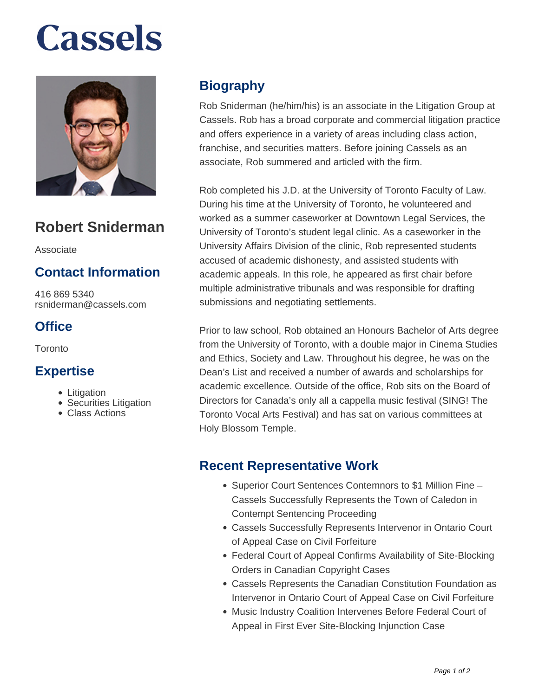# **Cassels**



### **Robert Sniderman**

Associate

#### **Contact Information**

416 869 5340 rsniderman@cassels.com

#### **Office**

Toronto

#### **Expertise**

- Litigation
- Securities Litigation
- Class Actions

#### **Biography**

Rob Sniderman (he/him/his) is an associate in the Litigation Group at Cassels. Rob has a broad corporate and commercial litigation practice and offers experience in a variety of areas including class action, franchise, and securities matters. Before joining Cassels as an associate, Rob summered and articled with the firm.

Rob completed his J.D. at the University of Toronto Faculty of Law. During his time at the University of Toronto, he volunteered and worked as a summer caseworker at Downtown Legal Services, the University of Toronto's student legal clinic. As a caseworker in the University Affairs Division of the clinic, Rob represented students accused of academic dishonesty, and assisted students with academic appeals. In this role, he appeared as first chair before multiple administrative tribunals and was responsible for drafting submissions and negotiating settlements.

Prior to law school, Rob obtained an Honours Bachelor of Arts degree from the University of Toronto, with a double major in Cinema Studies and Ethics, Society and Law. Throughout his degree, he was on the Dean's List and received a number of awards and scholarships for academic excellence. Outside of the office, Rob sits on the Board of Directors for Canada's only all a cappella music festival (SING! The Toronto Vocal Arts Festival) and has sat on various committees at Holy Blossom Temple.

#### **Recent Representative Work**

- Superior Court Sentences Contemnors to \$1 Million Fine Cassels Successfully Represents the Town of Caledon in Contempt Sentencing Proceeding
- Cassels Successfully Represents Intervenor in Ontario Court of Appeal Case on Civil Forfeiture
- Federal Court of Appeal Confirms Availability of Site-Blocking Orders in Canadian Copyright Cases
- Cassels Represents the Canadian Constitution Foundation as Intervenor in Ontario Court of Appeal Case on Civil Forfeiture
- Music Industry Coalition Intervenes Before Federal Court of Appeal in First Ever Site-Blocking Injunction Case